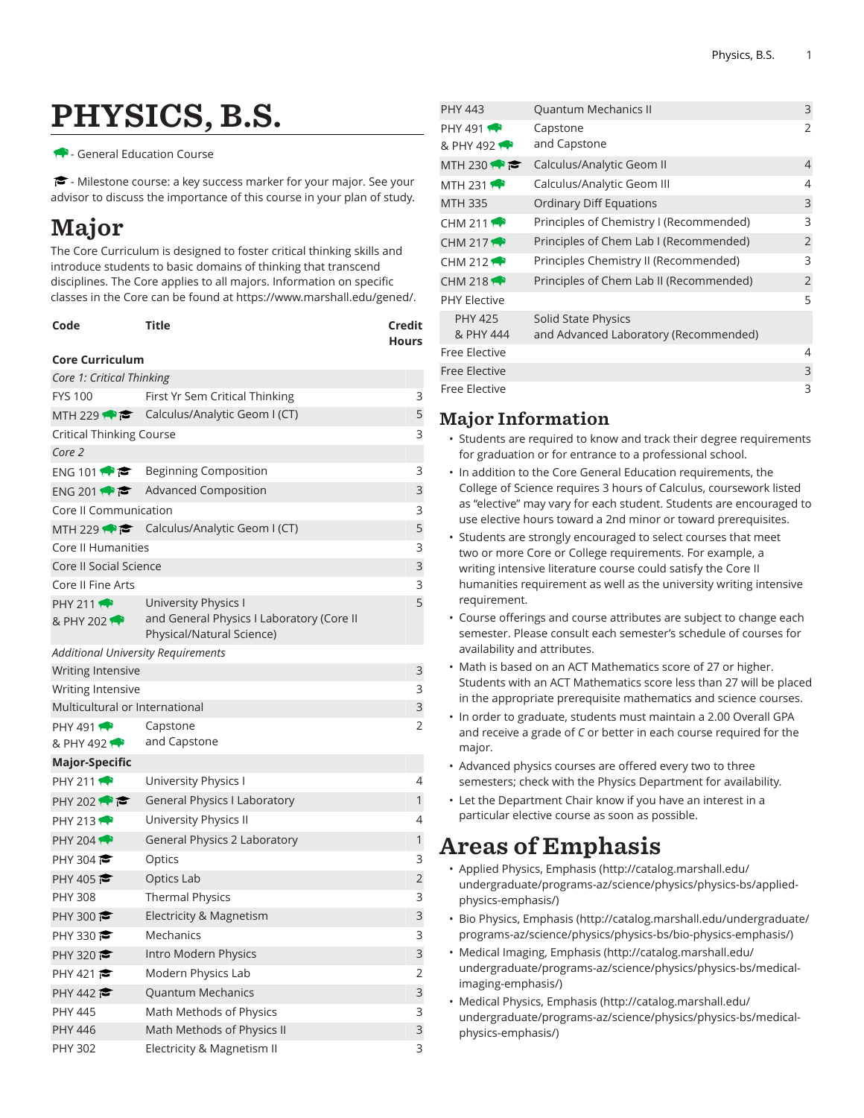# PHYSICS, B.S.

#### - General Education Course

 $\blacktriangleright$  - Milestone course: a key success marker for your major. See your advisor to discuss the importance of this course in your plan of study.

## Major

The Core Curriculum is designed to foster critical thinking skills and introduce students to basic domains of thinking that transcend disciplines. The Core applies to all majors. Information on specific classes in the Core can be found at [https://www.marshall.edu/gened/.](https://www.marshall.edu/gened/)

| Code | Title | Credit       |
|------|-------|--------------|
|      |       | <b>Hours</b> |

#### **Core Curriculum**

| Core 1: Critical Thinking           |                                                                                                |   |
|-------------------------------------|------------------------------------------------------------------------------------------------|---|
| <b>FYS 100</b>                      | First Yr Sem Critical Thinking                                                                 | 3 |
| MTH 229 $\leftrightarrow$ $\approx$ | Calculus/Analytic Geom I (CT)                                                                  | 5 |
| <b>Critical Thinking Course</b>     |                                                                                                |   |
| Core 2                              |                                                                                                |   |
| ENG 101 $\bullet$                   | Beginning Composition                                                                          | 3 |
| ENG 201 $\rightarrow$               | Advanced Composition                                                                           | 3 |
| Core II Communication               |                                                                                                | 3 |
| MTH 229                             | Calculus/Analytic Geom I (CT)                                                                  | 5 |
| <b>Core II Humanities</b>           |                                                                                                | 3 |
| Core II Social Science              |                                                                                                | 3 |
| Core II Fine Arts                   |                                                                                                | 3 |
| <b>PHY 211</b><br>& PHY 202         | University Physics I<br>and General Physics I Laboratory (Core II<br>Physical/Natural Science) | 5 |
| Additional University Requirements  |                                                                                                |   |
| <b>Writing Intensive</b>            |                                                                                                | 3 |
| Writing Intensive                   |                                                                                                | 3 |
| Multicultural or International      |                                                                                                | 3 |
| PHY 491 $\bullet$<br>& PHY 492      | Capstone<br>and Capstone                                                                       | 2 |
| <b>Major-Specific</b>               |                                                                                                |   |
|                                     |                                                                                                |   |
| <b>PHY 211</b>                      | University Physics I                                                                           | 4 |
| PHY 202 $\rightarrow$               | <b>General Physics I Laboratory</b>                                                            | 1 |
| PHY 213                             | University Physics II                                                                          | 4 |
| <b>PHY 204 1</b>                    | General Physics 2 Laboratory                                                                   | 1 |
| PHY 304 $\approx$                   | Optics                                                                                         | 3 |
| PHY 405                             | Optics Lab                                                                                     | 2 |
| <b>PHY 308</b>                      | <b>Thermal Physics</b>                                                                         | 3 |
| PHY 300                             | Electricity & Magnetism                                                                        | 3 |
| PHY 330 $\approx$                   | Mechanics                                                                                      | 3 |
| PHY 320                             | Intro Modern Physics                                                                           | 3 |
| PHY 421                             | Modern Physics Lab                                                                             | 2 |
| PHY 442                             | <b>Quantum Mechanics</b>                                                                       | 3 |
| <b>PHY 445</b>                      | Math Methods of Physics                                                                        | 3 |
| <b>PHY 446</b>                      | Math Methods of Physics II                                                                     | 3 |

| <b>PHY 443</b>                 | Quantum Mechanics II                                         | 3              |
|--------------------------------|--------------------------------------------------------------|----------------|
| PHY 491 $\bullet$<br>& PHY 492 | Capstone<br>and Capstone                                     | 2              |
| MTH 230                        | Calculus/Analytic Geom II                                    | $\overline{4}$ |
| MTH 231 $\rightarrow$          | Calculus/Analytic Geom III                                   | 4              |
| <b>MTH 335</b>                 | <b>Ordinary Diff Equations</b>                               | 3              |
| CHM 211 $\rightarrow$          | Principles of Chemistry I (Recommended)                      | 3              |
| CHM 217 $\leftrightarrow$      | Principles of Chem Lab I (Recommended)                       | $\overline{2}$ |
| CHM 212 $\rightarrow$          | Principles Chemistry II (Recommended)                        | 3              |
| CHM 218 $\rightarrow$          | Principles of Chem Lab II (Recommended)                      | 2              |
| <b>PHY Flective</b>            |                                                              | 5              |
| <b>PHY 425</b><br>& PHY 444    | Solid State Physics<br>and Advanced Laboratory (Recommended) |                |
| <b>Free Elective</b>           |                                                              | 4              |
| <b>Free Elective</b>           |                                                              | 3              |
| <b>Free Elective</b>           |                                                              | 3              |

#### Major Information

- Students are required to know and track their degree requirements for graduation or for entrance to a professional school.
- In addition to the Core General Education requirements, the College of Science requires 3 hours of Calculus, coursework listed as "elective" may vary for each student. Students are encouraged to use elective hours toward a 2nd minor or toward prerequisites.
- Students are strongly encouraged to select courses that meet two or more Core or College requirements. For example, a writing intensive literature course could satisfy the Core II humanities requirement as well as the university writing intensive requirement.
- Course offerings and course attributes are subject to change each semester. Please consult each semester's schedule of courses for availability and attributes.
- Math is based on an ACT Mathematics score of 27 or higher. Students with an ACT Mathematics score less than 27 will be placed in the appropriate prerequisite mathematics and science courses.
- In order to graduate, students must maintain a 2.00 Overall GPA and receive a grade of *C* or better in each course required for the major.
- Advanced physics courses are offered every two to three semesters; check with the Physics Department for availability.
- Let the Department Chair know if you have an interest in a particular elective course as soon as possible.

### Areas of Emphasis

- [Applied Physics, Emphasis \(http://catalog.marshall.edu/](http://catalog.marshall.edu/undergraduate/programs-az/science/physics/physics-bs/applied-physics-emphasis/) [undergraduate/programs-az/science/physics/physics-bs/applied](http://catalog.marshall.edu/undergraduate/programs-az/science/physics/physics-bs/applied-physics-emphasis/)[physics-emphasis/](http://catalog.marshall.edu/undergraduate/programs-az/science/physics/physics-bs/applied-physics-emphasis/))
- [Bio Physics, Emphasis](http://catalog.marshall.edu/undergraduate/programs-az/science/physics/physics-bs/bio-physics-emphasis/) ([http://catalog.marshall.edu/undergraduate/](http://catalog.marshall.edu/undergraduate/programs-az/science/physics/physics-bs/bio-physics-emphasis/) [programs-az/science/physics/physics-bs/bio-physics-emphasis/](http://catalog.marshall.edu/undergraduate/programs-az/science/physics/physics-bs/bio-physics-emphasis/))
- [Medical Imaging, Emphasis \(http://catalog.marshall.edu/](http://catalog.marshall.edu/undergraduate/programs-az/science/physics/physics-bs/medical-imaging-emphasis/) [undergraduate/programs-az/science/physics/physics-bs/medical](http://catalog.marshall.edu/undergraduate/programs-az/science/physics/physics-bs/medical-imaging-emphasis/)[imaging-emphasis/](http://catalog.marshall.edu/undergraduate/programs-az/science/physics/physics-bs/medical-imaging-emphasis/))
- [Medical Physics, Emphasis](http://catalog.marshall.edu/undergraduate/programs-az/science/physics/physics-bs/medical-physics-emphasis/) ([http://catalog.marshall.edu/](http://catalog.marshall.edu/undergraduate/programs-az/science/physics/physics-bs/medical-physics-emphasis/) [undergraduate/programs-az/science/physics/physics-bs/medical](http://catalog.marshall.edu/undergraduate/programs-az/science/physics/physics-bs/medical-physics-emphasis/)[physics-emphasis/](http://catalog.marshall.edu/undergraduate/programs-az/science/physics/physics-bs/medical-physics-emphasis/))